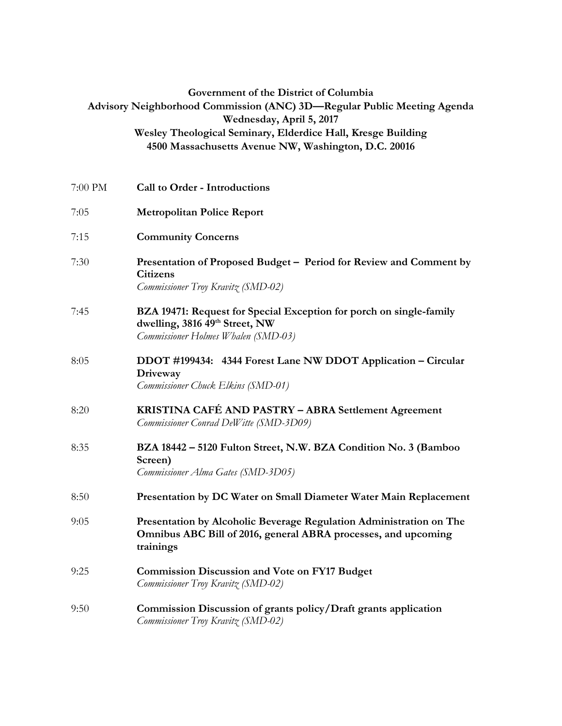| Government of the District of Columbia<br>Advisory Neighborhood Commission (ANC) 3D-Regular Public Meeting Agenda<br>Wednesday, April 5, 2017 |                                                                                                                                                    |
|-----------------------------------------------------------------------------------------------------------------------------------------------|----------------------------------------------------------------------------------------------------------------------------------------------------|
|                                                                                                                                               | Wesley Theological Seminary, Elderdice Hall, Kresge Building<br>4500 Massachusetts Avenue NW, Washington, D.C. 20016                               |
| 7:00 PM                                                                                                                                       | <b>Call to Order - Introductions</b>                                                                                                               |
| 7:05                                                                                                                                          | <b>Metropolitan Police Report</b>                                                                                                                  |
| 7:15                                                                                                                                          | <b>Community Concerns</b>                                                                                                                          |
| 7:30                                                                                                                                          | Presentation of Proposed Budget - Period for Review and Comment by<br><b>Citizens</b><br>Commissioner Troy Kravitz (SMD-02)                        |
| 7:45                                                                                                                                          | BZA 19471: Request for Special Exception for porch on single-family<br>dwelling, 3816 49th Street, NW<br>Commissioner Holmes Whalen (SMD-03)       |
| 8:05                                                                                                                                          | DDOT #199434: 4344 Forest Lane NW DDOT Application - Circular<br>Driveway<br>Commissioner Chuck Elkins (SMD-01)                                    |
| 8:20                                                                                                                                          | KRISTINA CAFÉ AND PASTRY - ABRA Settlement Agreement<br>Commissioner Conrad DeWitte (SMD-3D09)                                                     |
| 8:35                                                                                                                                          | BZA 18442 - 5120 Fulton Street, N.W. BZA Condition No. 3 (Bamboo<br>Screen)<br>Commissioner Alma Gates (SMD-3D05)                                  |
| 8:50                                                                                                                                          | Presentation by DC Water on Small Diameter Water Main Replacement                                                                                  |
| 9:05                                                                                                                                          | Presentation by Alcoholic Beverage Regulation Administration on The<br>Omnibus ABC Bill of 2016, general ABRA processes, and upcoming<br>trainings |
| 9:25                                                                                                                                          | <b>Commission Discussion and Vote on FY17 Budget</b><br>Commissioner Troy Kravitz (SMD-02)                                                         |
| 9:50                                                                                                                                          | Commission Discussion of grants policy/Draft grants application<br>Commissioner Troy Kravitz (SMD-02)                                              |